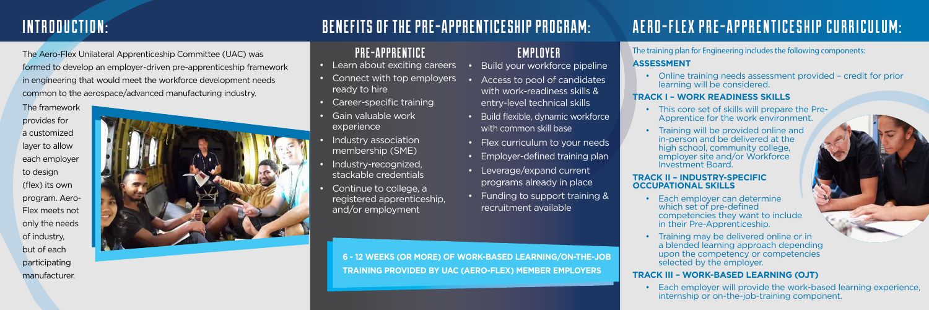### BENEFITS OF THE PRE-APPRENTICESHIP PROGRAM:

**6 - 12 WEEKS (OR MORE) OF WORK-BASED LEARNING/ON-THE-JOB TRAINING PROVIDED BY UAC (AERO-FLEX) MEMBER EMPLOYERS**

## AERO-FLEX PRE-APPRENTICESHIP CURRICULUM:

The training plan for Engineering includes the following components:

#### **ASSESSMENT**

• Online training needs assessment provided – credit for prior learning will be considered.

#### **TRACK I – WORK READINESS SKILLS**

- This core set of skills will prepare the Pre-Apprentice for the work environment.
- Training will be provided online and in-person and be delivered at the high school, community college, employer site and/or Workforce Investment Board.

#### **TRACK II – INDUSTRY-SPECIFIC OCCUPATIONAL SKILLS**

- Each employer can determine which set of pre-defined competencies they want to include in their Pre-Apprenticeship.
- Training may be delivered online or in a blended learning approach depending upon the competency or competencies selected by the employer.

### **TRACK III – WORK-BASED LEARNING (OJT)**

• Each employer will provide the work-based learning experience, internship or on-the-job-training component.

### PRE-APPRENTICE

- Learn about exciting careers
- Connect with top employers ready to hire
- Career-specific training
- Gain valuable work experience
- Industry association membership (SME)
- Industry-recognized, stackable credentials
- Continue to college, a registered apprenticeship, and/or employment

EMPLOYER

Build your workforce pipeline

• Access to pool of candidates with work-readiness skills & entry-level technical skills

• Build flexible, dynamic workforce with common skill base

- Flex curriculum to your needs
- Employer-defined training plan
- Leverage/expand current programs already in place
- Funding to support training & recruitment available

### INTRODUCTION:

The Aero-Flex Unilateral Apprenticeship Committee (UAC) was formed to develop an employer-driven pre-apprenticeship framework in engineering that would meet the workforce development needs common to the aerospace/advanced manufacturing industry.

provides for



to design

of industry, but of each participating manufacturer.